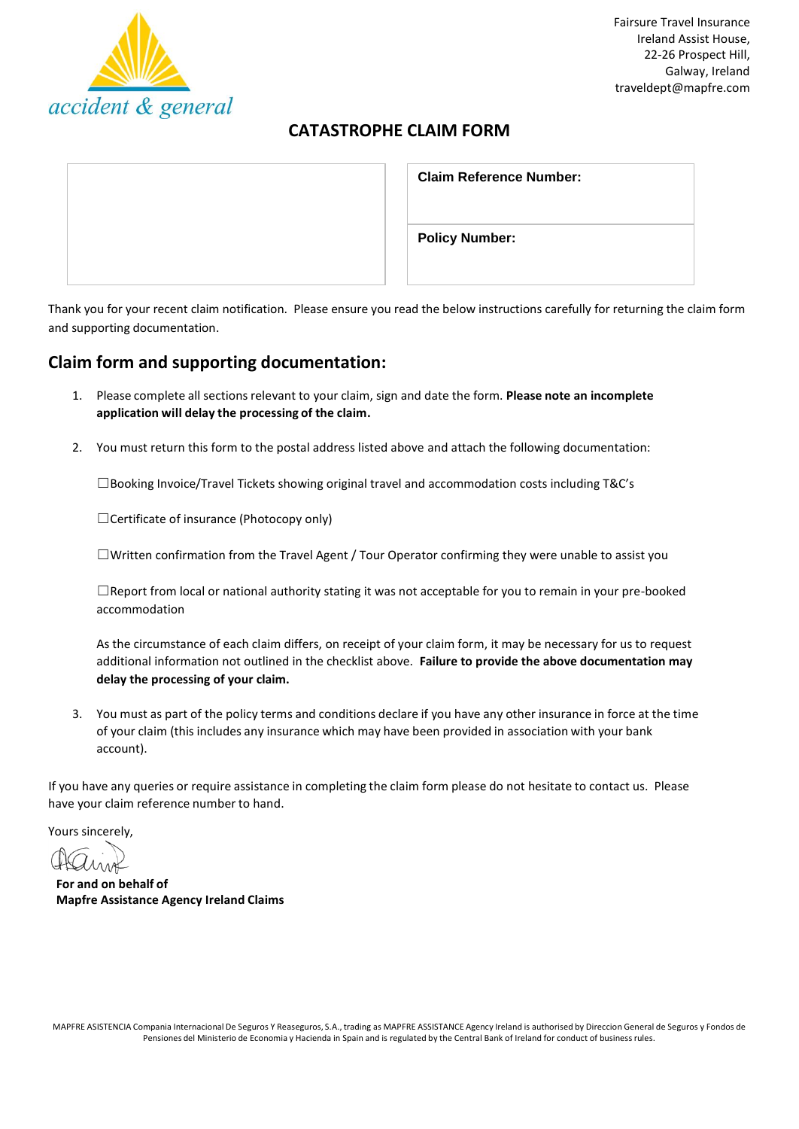

# **CATASTROPHE CLAIM FORM**

| <b>Claim Reference Number:</b> |
|--------------------------------|
| <b>Policy Number:</b>          |

Thank you for your recent claim notification. Please ensure you read the below instructions carefully for returning the claim form and supporting documentation.

## **Claim form and supporting documentation:**

- 1. Please complete all sectionsrelevant to your claim, sign and date the form. **Please note an incomplete application will delay the processing of the claim.**
- 2. You must return this form to the postal address listed above and attach the following documentation:

 $\square$ Booking Invoice/Travel Tickets showing original travel and accommodation costs including T&C's

☐Certificate of insurance (Photocopy only)

☐Written confirmation from the Travel Agent / Tour Operator confirming they were unable to assist you

☐Report from local or national authority stating it was not acceptable for you to remain in your pre-booked accommodation

As the circumstance of each claim differs, on receipt of your claim form, it may be necessary for us to request additional information not outlined in the checklist above. **Failure to provide the above documentation may delay the processing of your claim.**

3. You must as part of the policy terms and conditions declare if you have any other insurance in force at the time of your claim (this includes any insurance which may have been provided in association with your bank account).

If you have any queries or require assistance in completing the claim form please do not hesitate to contact us. Please have your claim reference number to hand.

Yours sincerely,

**For and on behalf of Mapfre Assistance Agency Ireland Claims**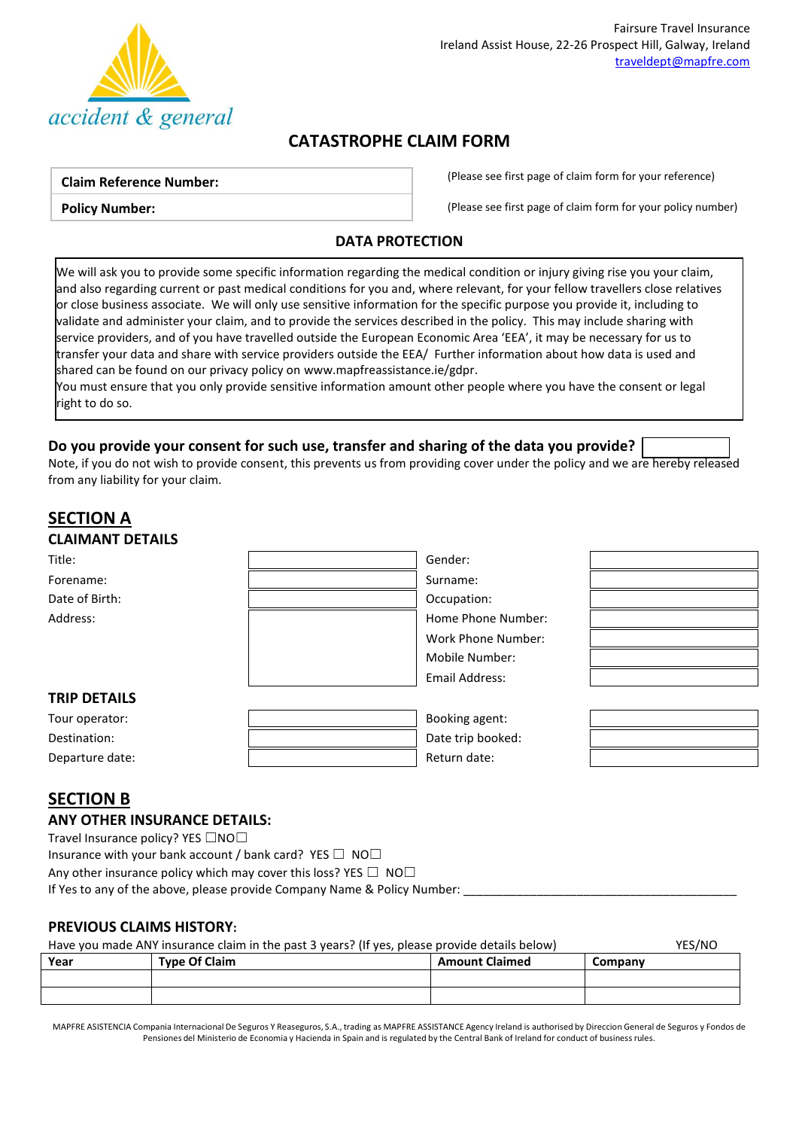

# **CATASTROPHE CLAIM FORM**

#### **Claim Reference Number:**

**Policy Number:**

(Please see first page of claim form for your reference)

(Please see first page of claim form for your policy number)

## **DATA PROTECTION**

We will ask you to provide some specific information regarding the medical condition or injury giving rise you your claim, and also regarding current or past medical conditions for you and, where relevant, for your fellow travellers close relatives or close business associate. We will only use sensitive information for the specific purpose you provide it, including to validate and administer your claim, and to provide the services described in the policy. This may include sharing with service providers, and of you have travelled outside the European Economic Area 'EEA', it may be necessary for us to transfer your data and share with service providers outside the EEA/ Further information about how data is used and shared can be found on our privacy policy o[n www.mapfreassistance.ie/gdpr.](http://www.mapfreassistance.ie/gdpr)

You must ensure that you only provide sensitive information amount other people where you have the consent or legal right to do so.

## **Do you provide your consent for such use, transfer and sharing of the data you provide?**

Note, if you do not wish to provide consent, this prevents us from providing cover under the policy and we are hereby released from any liability for your claim.

| <b>SECTION A</b>        |                    |
|-------------------------|--------------------|
| <b>CLAIMANT DETAILS</b> |                    |
| Title:                  | Gender:            |
| Forename:               | Surname:           |
| Date of Birth:          | Occupation:        |
| Address:                | Home Phone Number: |
|                         | Work Phone Number: |
|                         | Mobile Number:     |
|                         | Email Address:     |
| <b>TRIP DETAILS</b>     |                    |
| Tour operator:          | Booking agent:     |
| Destination:            | Date trip booked:  |
| Departure date:         | Return date:       |

# **SECTION B**

### **ANY OTHER INSURANCE DETAILS:**

Travel Insurance policy? YES □NO□

Insurance with your bank account / bank card? YES  $\Box$  NO $\Box$ Any other insurance policy which may cover this loss? YES  $\Box$  NO $\Box$ If Yes to any of the above, please provide Company Name & Policy Number:

## **PREVIOUS CLAIMS HISTORY:**

| YES/NO<br>Have you made ANY insurance claim in the past 3 years? (If yes, please provide details below) |                      |                       |         |  |
|---------------------------------------------------------------------------------------------------------|----------------------|-----------------------|---------|--|
| Year                                                                                                    | <b>Type Of Claim</b> | <b>Amount Claimed</b> | Company |  |
|                                                                                                         |                      |                       |         |  |
|                                                                                                         |                      |                       |         |  |

MAPFRE ASISTENCIA Compania Internacional De Seguros Y Reaseguros, S.A., trading as MAPFRE ASSISTANCE Agency Ireland is authorised by Direccion General de Seguros y Fondos de Pensiones del Ministerio de Economia y Hacienda in Spain and is regulated by the Central Bank of Ireland for conduct of business rules.